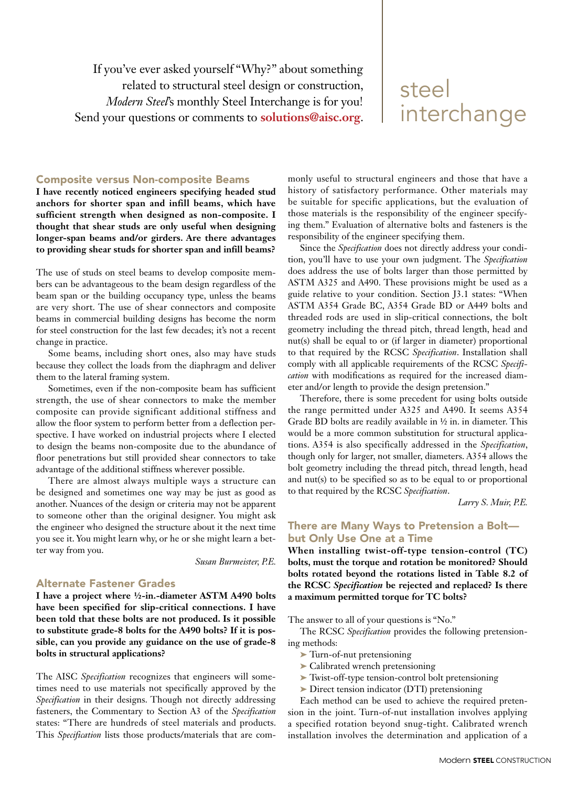If you've ever asked yourself "Why?" about something related to structural steel design or construction, *Modern Steel*'s monthly Steel Interchange is for you! Send your questions or comments to **solutions@aisc.org**.

# steel interchange

### Composite versus Non-composite Beams

**I have recently noticed engineers specifying headed stud anchors for shorter span and infill beams, which have sufficient strength when designed as non-composite. I thought that shear studs are only useful when designing longer-span beams and/or girders. Are there advantages to providing shear studs for shorter span and infill beams?** 

The use of studs on steel beams to develop composite members can be advantageous to the beam design regardless of the beam span or the building occupancy type, unless the beams are very short. The use of shear connectors and composite beams in commercial building designs has become the norm for steel construction for the last few decades; it's not a recent change in practice.

Some beams, including short ones, also may have studs because they collect the loads from the diaphragm and deliver them to the lateral framing system.

Sometimes, even if the non-composite beam has sufficient strength, the use of shear connectors to make the member composite can provide significant additional stiffness and allow the floor system to perform better from a deflection perspective. I have worked on industrial projects where I elected to design the beams non-composite due to the abundance of floor penetrations but still provided shear connectors to take advantage of the additional stiffness wherever possible.

There are almost always multiple ways a structure can be designed and sometimes one way may be just as good as another. Nuances of the design or criteria may not be apparent to someone other than the original designer. You might ask the engineer who designed the structure about it the next time you see it. You might learn why, or he or she might learn a better way from you.

*Susan Burmeister, P.E.*

#### Alternate Fastener Grades

**I have a project where ½-in.-diameter ASTM A490 bolts have been specified for slip-critical connections. I have been told that these bolts are not produced. Is it possible to substitute grade-8 bolts for the A490 bolts? If it is possible, can you provide any guidance on the use of grade-8 bolts in structural applications?**

The AISC *Specification* recognizes that engineers will sometimes need to use materials not specifically approved by the *Specification* in their designs. Though not directly addressing fasteners, the Commentary to Section A3 of the *Specification*  states: "There are hundreds of steel materials and products. This *Specification* lists those products/materials that are com-

monly useful to structural engineers and those that have a history of satisfactory performance. Other materials may be suitable for specific applications, but the evaluation of those materials is the responsibility of the engineer specifying them." Evaluation of alternative bolts and fasteners is the responsibility of the engineer specifying them.

Since the *Specification* does not directly address your condition, you'll have to use your own judgment. The *Specification*  does address the use of bolts larger than those permitted by ASTM A325 and A490. These provisions might be used as a guide relative to your condition. Section J3.1 states: "When ASTM A354 Grade BC, A354 Grade BD or A449 bolts and threaded rods are used in slip-critical connections, the bolt geometry including the thread pitch, thread length, head and nut(s) shall be equal to or (if larger in diameter) proportional to that required by the RCSC *Specification*. Installation shall comply with all applicable requirements of the RCSC *Specification* with modifications as required for the increased diameter and/or length to provide the design pretension."

Therefore, there is some precedent for using bolts outside the range permitted under A325 and A490. It seems A354 Grade BD bolts are readily available in ½ in. in diameter. This would be a more common substitution for structural applications. A354 is also specifically addressed in the *Specification*, though only for larger, not smaller, diameters. A354 allows the bolt geometry including the thread pitch, thread length, head and nut(s) to be specified so as to be equal to or proportional to that required by the RCSC *Specification*.

*Larry S. Muir, P.E.*

## There are Many Ways to Pretension a Bolt but Only Use One at a Time

**When installing twist-off-type tension-control (TC) bolts, must the torque and rotation be monitored? Should bolts rotated beyond the rotations listed in Table 8.2 of the RCSC** *Specification* **be rejected and replaced? Is there a maximum permitted torque for TC bolts?**

The answer to all of your questions is "No."

The RCSC *Specification* provides the following pretensioning methods:

- ➤ Turn-of-nut pretensioning
- ➤ Calibrated wrench pretensioning
- ➤ Twist-off-type tension-control bolt pretensioning
- ➤ Direct tension indicator (DTI) pretensioning

Each method can be used to achieve the required pretension in the joint. Turn-of-nut installation involves applying a specified rotation beyond snug-tight. Calibrated wrench installation involves the determination and application of a